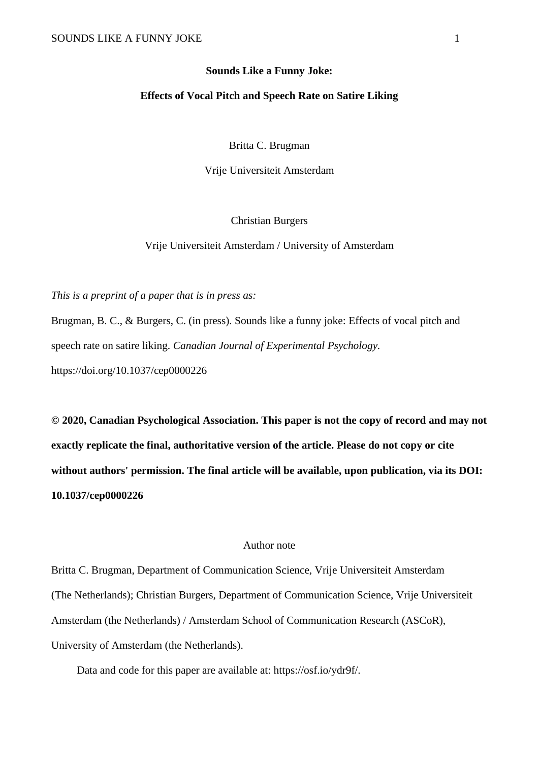#### **Sounds Like a Funny Joke:**

# **Effects of Vocal Pitch and Speech Rate on Satire Liking**

Britta C. Brugman

Vrije Universiteit Amsterdam

Christian Burgers

Vrije Universiteit Amsterdam / University of Amsterdam

*This is a preprint of a paper that is in press as:* 

Brugman, B. C., & Burgers, C. (in press). Sounds like a funny joke: Effects of vocal pitch and speech rate on satire liking. *Canadian Journal of Experimental Psychology.* https://doi.org/10.1037/cep0000226

**© 2020, Canadian Psychological Association. This paper is not the copy of record and may not exactly replicate the final, authoritative version of the article. Please do not copy or cite without authors' permission. The final article will be available, upon publication, via its DOI: 10.1037/cep0000226**

## Author note

Britta C. Brugman, Department of Communication Science, Vrije Universiteit Amsterdam (The Netherlands); Christian Burgers, Department of Communication Science, Vrije Universiteit Amsterdam (the Netherlands) / Amsterdam School of Communication Research (ASCoR), University of Amsterdam (the Netherlands).

Data and code for this paper are available at: https://osf.io/ydr9f/.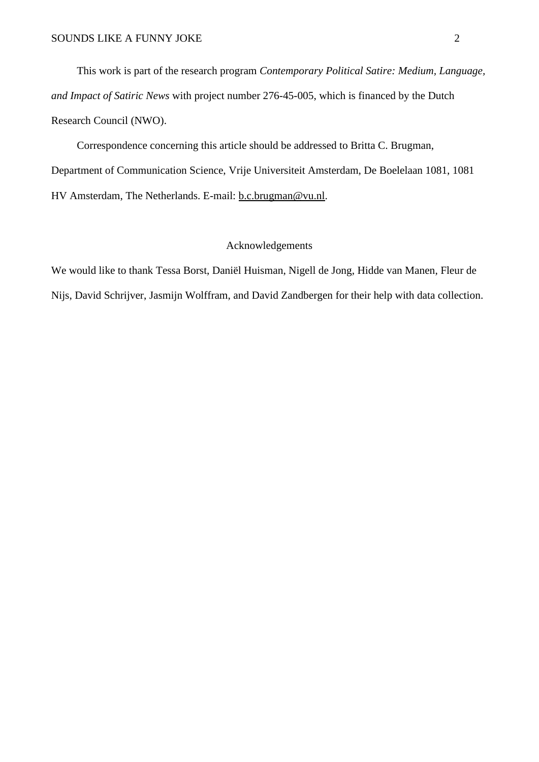This work is part of the research program *Contemporary Political Satire: Medium, Language, and Impact of Satiric News* with project number 276-45-005, which is financed by the Dutch Research Council (NWO).

Correspondence concerning this article should be addressed to Britta C. Brugman, Department of Communication Science, Vrije Universiteit Amsterdam, De Boelelaan 1081, 1081 HV Amsterdam, The Netherlands. E-mail: [b.c.brugman@vu.nl.](mailto:b.c.brugman@vu.nl)

# Acknowledgements

We would like to thank Tessa Borst, Daniël Huisman, Nigell de Jong, Hidde van Manen, Fleur de Nijs, David Schrijver, Jasmijn Wolffram, and David Zandbergen for their help with data collection.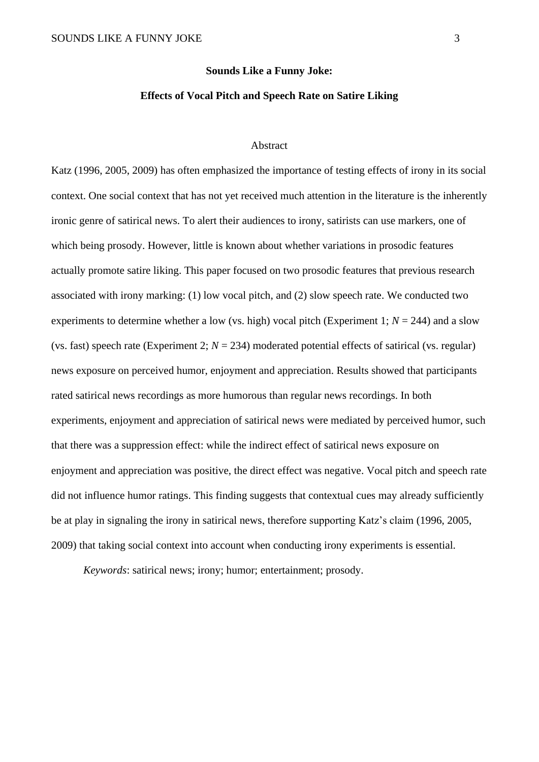#### **Sounds Like a Funny Joke:**

# **Effects of Vocal Pitch and Speech Rate on Satire Liking**

# Abstract

Katz (1996, 2005, 2009) has often emphasized the importance of testing effects of irony in its social context. One social context that has not yet received much attention in the literature is the inherently ironic genre of satirical news. To alert their audiences to irony, satirists can use markers, one of which being prosody. However, little is known about whether variations in prosodic features actually promote satire liking. This paper focused on two prosodic features that previous research associated with irony marking: (1) low vocal pitch, and (2) slow speech rate. We conducted two experiments to determine whether a low (vs. high) vocal pitch (Experiment 1;  $N = 244$ ) and a slow (vs. fast) speech rate (Experiment 2;  $N = 234$ ) moderated potential effects of satirical (vs. regular) news exposure on perceived humor, enjoyment and appreciation. Results showed that participants rated satirical news recordings as more humorous than regular news recordings. In both experiments, enjoyment and appreciation of satirical news were mediated by perceived humor, such that there was a suppression effect: while the indirect effect of satirical news exposure on enjoyment and appreciation was positive, the direct effect was negative. Vocal pitch and speech rate did not influence humor ratings. This finding suggests that contextual cues may already sufficiently be at play in signaling the irony in satirical news, therefore supporting Katz's claim (1996, 2005, 2009) that taking social context into account when conducting irony experiments is essential.

*Keywords*: satirical news; irony; humor; entertainment; prosody.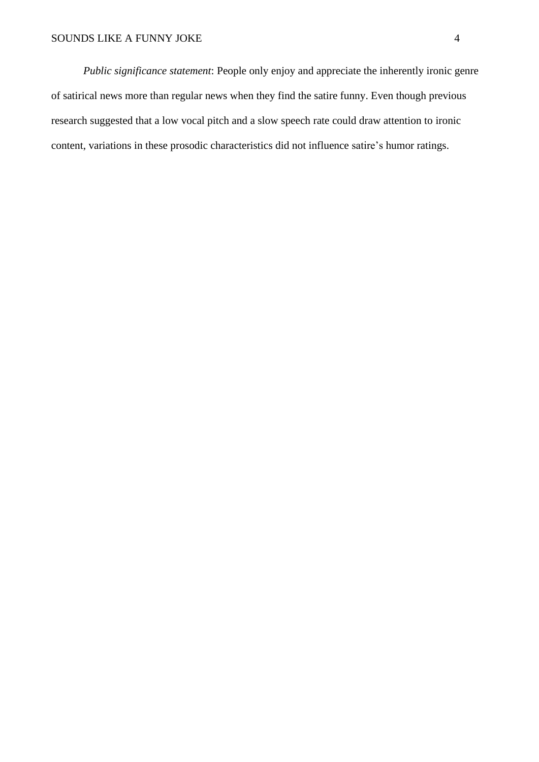*Public significance statement*: People only enjoy and appreciate the inherently ironic genre of satirical news more than regular news when they find the satire funny. Even though previous research suggested that a low vocal pitch and a slow speech rate could draw attention to ironic content, variations in these prosodic characteristics did not influence satire's humor ratings.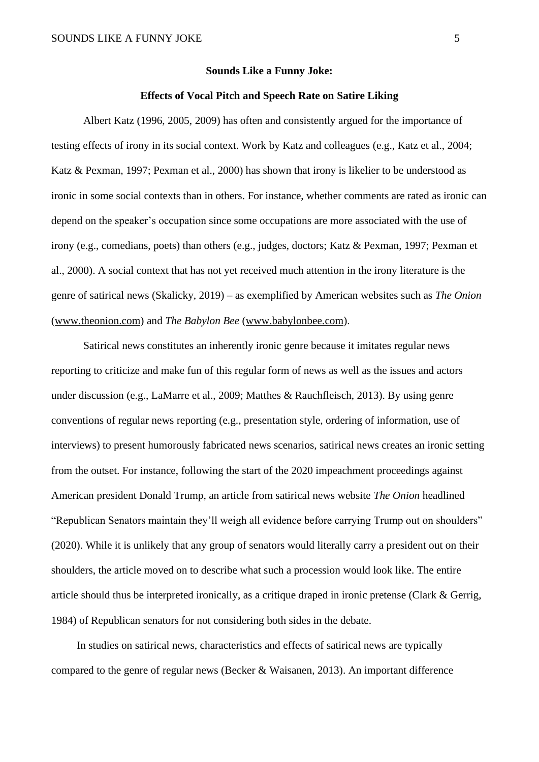#### **Sounds Like a Funny Joke:**

## **Effects of Vocal Pitch and Speech Rate on Satire Liking**

Albert Katz (1996, 2005, 2009) has often and consistently argued for the importance of testing effects of irony in its social context. Work by Katz and colleagues (e.g., Katz et al., 2004; Katz & Pexman, 1997; Pexman et al., 2000) has shown that irony is likelier to be understood as ironic in some social contexts than in others. For instance, whether comments are rated as ironic can depend on the speaker's occupation since some occupations are more associated with the use of irony (e.g., comedians, poets) than others (e.g., judges, doctors; Katz & Pexman, 1997; Pexman et al., 2000). A social context that has not yet received much attention in the irony literature is the genre of satirical news (Skalicky, 2019) – as exemplified by American websites such as *The Onion* [\(www.theonion.com\)](http://www.theonion.com/) and *The Babylon Bee* [\(www.babylonbee.com\)](http://www.babylonbee.com/).

Satirical news constitutes an inherently ironic genre because it imitates regular news reporting to criticize and make fun of this regular form of news as well as the issues and actors under discussion (e.g., LaMarre et al., 2009; Matthes & Rauchfleisch, 2013). By using genre conventions of regular news reporting (e.g., presentation style, ordering of information, use of interviews) to present humorously fabricated news scenarios, satirical news creates an ironic setting from the outset. For instance, following the start of the 2020 impeachment proceedings against American president Donald Trump, an article from satirical news website *The Onion* headlined "Republican Senators maintain they'll weigh all evidence before carrying Trump out on shoulders" (2020). While it is unlikely that any group of senators would literally carry a president out on their shoulders, the article moved on to describe what such a procession would look like. The entire article should thus be interpreted ironically, as a critique draped in ironic pretense (Clark & Gerrig, 1984) of Republican senators for not considering both sides in the debate.

In studies on satirical news, characteristics and effects of satirical news are typically compared to the genre of regular news (Becker & Waisanen, 2013). An important difference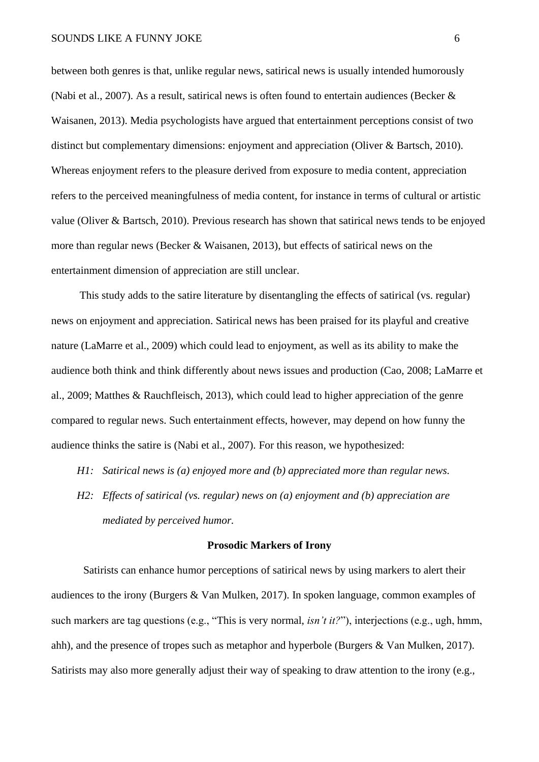between both genres is that, unlike regular news, satirical news is usually intended humorously (Nabi et al., 2007). As a result, satirical news is often found to entertain audiences (Becker & Waisanen, 2013). Media psychologists have argued that entertainment perceptions consist of two distinct but complementary dimensions: enjoyment and appreciation (Oliver & Bartsch, 2010). Whereas enjoyment refers to the pleasure derived from exposure to media content, appreciation refers to the perceived meaningfulness of media content, for instance in terms of cultural or artistic value (Oliver & Bartsch, 2010). Previous research has shown that satirical news tends to be enjoyed more than regular news (Becker & Waisanen, 2013), but effects of satirical news on the entertainment dimension of appreciation are still unclear.

This study adds to the satire literature by disentangling the effects of satirical (vs. regular) news on enjoyment and appreciation. Satirical news has been praised for its playful and creative nature (LaMarre et al., 2009) which could lead to enjoyment, as well as its ability to make the audience both think and think differently about news issues and production (Cao, 2008; LaMarre et al., 2009; Matthes & Rauchfleisch, 2013), which could lead to higher appreciation of the genre compared to regular news. Such entertainment effects, however, may depend on how funny the audience thinks the satire is (Nabi et al., 2007). For this reason, we hypothesized:

- *H1: Satirical news is (a) enjoyed more and (b) appreciated more than regular news.*
- *H2: Effects of satirical (vs. regular) news on (a) enjoyment and (b) appreciation are mediated by perceived humor.*

### **Prosodic Markers of Irony**

Satirists can enhance humor perceptions of satirical news by using markers to alert their audiences to the irony (Burgers & Van Mulken, 2017). In spoken language, common examples of such markers are tag questions (e.g., "This is very normal, *isn't it?*"), interjections (e.g., ugh, hmm, ahh), and the presence of tropes such as metaphor and hyperbole (Burgers & Van Mulken, 2017). Satirists may also more generally adjust their way of speaking to draw attention to the irony (e.g.,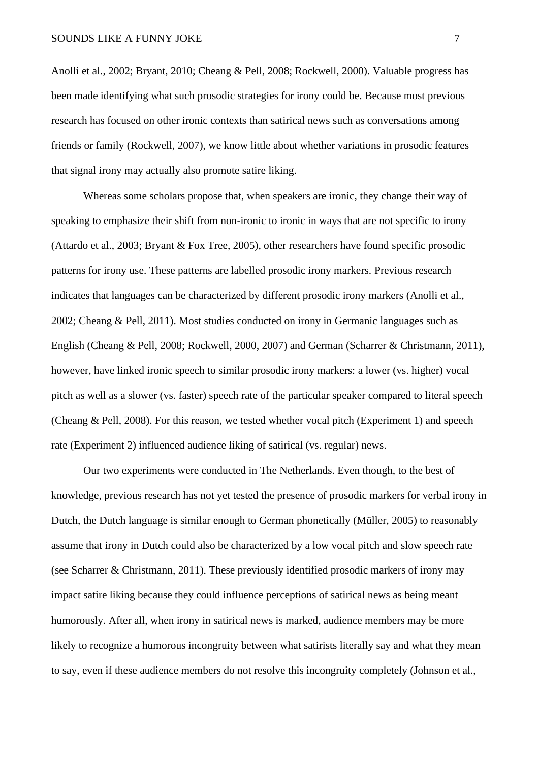Anolli et al., 2002; Bryant, 2010; Cheang & Pell, 2008; Rockwell, 2000). Valuable progress has been made identifying what such prosodic strategies for irony could be. Because most previous research has focused on other ironic contexts than satirical news such as conversations among friends or family (Rockwell, 2007), we know little about whether variations in prosodic features that signal irony may actually also promote satire liking.

Whereas some scholars propose that, when speakers are ironic, they change their way of speaking to emphasize their shift from non-ironic to ironic in ways that are not specific to irony (Attardo et al., 2003; Bryant & Fox Tree, 2005), other researchers have found specific prosodic patterns for irony use. These patterns are labelled prosodic irony markers. Previous research indicates that languages can be characterized by different prosodic irony markers (Anolli et al., 2002; Cheang & Pell, 2011). Most studies conducted on irony in Germanic languages such as English (Cheang & Pell, 2008; Rockwell, 2000, 2007) and German (Scharrer & Christmann, 2011), however, have linked ironic speech to similar prosodic irony markers: a lower (vs. higher) vocal pitch as well as a slower (vs. faster) speech rate of the particular speaker compared to literal speech (Cheang & Pell, 2008). For this reason, we tested whether vocal pitch (Experiment 1) and speech rate (Experiment 2) influenced audience liking of satirical (vs. regular) news.

Our two experiments were conducted in The Netherlands. Even though, to the best of knowledge, previous research has not yet tested the presence of prosodic markers for verbal irony in Dutch, the Dutch language is similar enough to German phonetically (Müller, 2005) to reasonably assume that irony in Dutch could also be characterized by a low vocal pitch and slow speech rate (see Scharrer & Christmann, 2011). These previously identified prosodic markers of irony may impact satire liking because they could influence perceptions of satirical news as being meant humorously. After all, when irony in satirical news is marked, audience members may be more likely to recognize a humorous incongruity between what satirists literally say and what they mean to say, even if these audience members do not resolve this incongruity completely (Johnson et al.,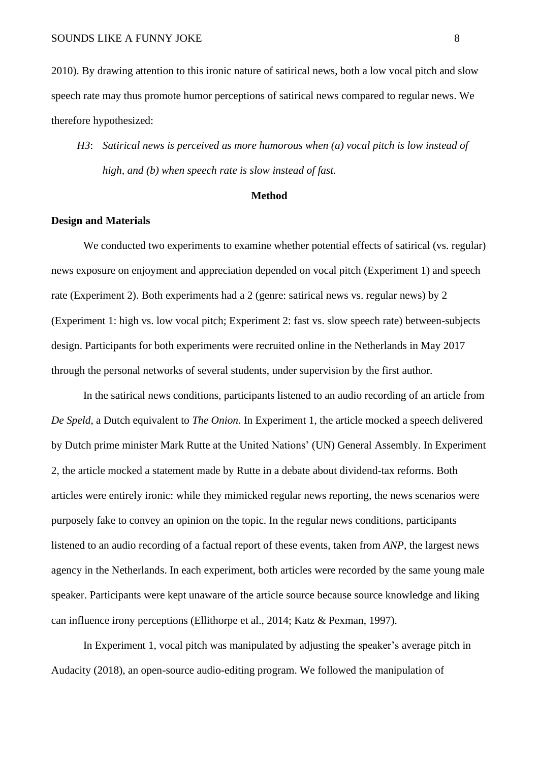2010). By drawing attention to this ironic nature of satirical news, both a low vocal pitch and slow speech rate may thus promote humor perceptions of satirical news compared to regular news. We therefore hypothesized:

*H3*: *Satirical news is perceived as more humorous when (a) vocal pitch is low instead of high, and (b) when speech rate is slow instead of fast.*

## **Method**

## **Design and Materials**

We conducted two experiments to examine whether potential effects of satirical (vs. regular) news exposure on enjoyment and appreciation depended on vocal pitch (Experiment 1) and speech rate (Experiment 2). Both experiments had a 2 (genre: satirical news vs. regular news) by 2 (Experiment 1: high vs. low vocal pitch; Experiment 2: fast vs. slow speech rate) between-subjects design. Participants for both experiments were recruited online in the Netherlands in May 2017 through the personal networks of several students, under supervision by the first author.

In the satirical news conditions, participants listened to an audio recording of an article from *De Speld*, a Dutch equivalent to *The Onion*. In Experiment 1, the article mocked a speech delivered by Dutch prime minister Mark Rutte at the United Nations' (UN) General Assembly. In Experiment 2, the article mocked a statement made by Rutte in a debate about dividend-tax reforms. Both articles were entirely ironic: while they mimicked regular news reporting, the news scenarios were purposely fake to convey an opinion on the topic. In the regular news conditions, participants listened to an audio recording of a factual report of these events, taken from *ANP*, the largest news agency in the Netherlands. In each experiment, both articles were recorded by the same young male speaker. Participants were kept unaware of the article source because source knowledge and liking can influence irony perceptions (Ellithorpe et al., 2014; Katz & Pexman, 1997).

In Experiment 1, vocal pitch was manipulated by adjusting the speaker's average pitch in Audacity (2018), an open-source audio-editing program. We followed the manipulation of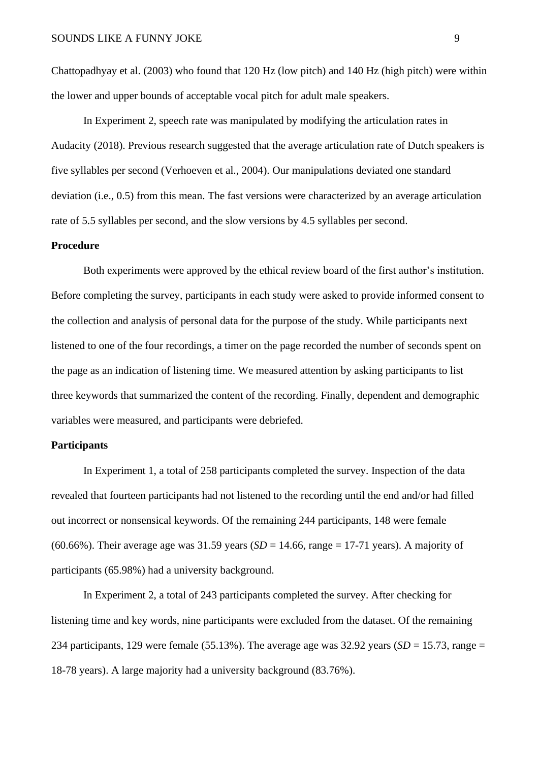Chattopadhyay et al. (2003) who found that 120 Hz (low pitch) and 140 Hz (high pitch) were within the lower and upper bounds of acceptable vocal pitch for adult male speakers.

In Experiment 2, speech rate was manipulated by modifying the articulation rates in Audacity (2018). Previous research suggested that the average articulation rate of Dutch speakers is five syllables per second (Verhoeven et al., 2004). Our manipulations deviated one standard deviation (i.e., 0.5) from this mean. The fast versions were characterized by an average articulation rate of 5.5 syllables per second, and the slow versions by 4.5 syllables per second.

## **Procedure**

Both experiments were approved by the ethical review board of the first author's institution. Before completing the survey, participants in each study were asked to provide informed consent to the collection and analysis of personal data for the purpose of the study. While participants next listened to one of the four recordings, a timer on the page recorded the number of seconds spent on the page as an indication of listening time. We measured attention by asking participants to list three keywords that summarized the content of the recording. Finally, dependent and demographic variables were measured, and participants were debriefed.

# **Participants**

In Experiment 1, a total of 258 participants completed the survey. Inspection of the data revealed that fourteen participants had not listened to the recording until the end and/or had filled out incorrect or nonsensical keywords. Of the remaining 244 participants, 148 were female (60.66%). Their average age was 31.59 years ( $SD = 14.66$ , range = 17-71 years). A majority of participants (65.98%) had a university background.

In Experiment 2, a total of 243 participants completed the survey. After checking for listening time and key words, nine participants were excluded from the dataset. Of the remaining 234 participants, 129 were female (55.13%). The average age was  $32.92$  years (*SD* = 15.73, range = 18-78 years). A large majority had a university background (83.76%).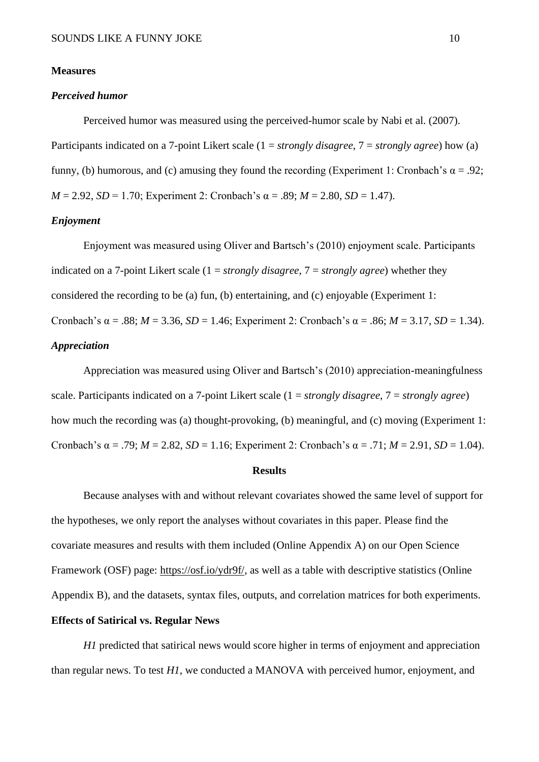#### **Measures**

## *Perceived humor*

Perceived humor was measured using the perceived-humor scale by Nabi et al. (2007). Participants indicated on a 7-point Likert scale (1 = *strongly disagree*, 7 = *strongly agree*) how (a) funny, (b) humorous, and (c) amusing they found the recording (Experiment 1: Cronbach's  $\alpha = .92$ ; *M* = 2.92, *SD* = 1.70; Experiment 2: Cronbach's  $\alpha$  = .89; *M* = 2.80, *SD* = 1.47).

### *Enjoyment*

Enjoyment was measured using Oliver and Bartsch's (2010) enjoyment scale. Participants indicated on a 7-point Likert scale (1 = *strongly disagree*, 7 = *strongly agree*) whether they considered the recording to be (a) fun, (b) entertaining, and (c) enjoyable (Experiment 1: Cronbach's α = .88; *M* = 3.36, *SD* = 1.46; Experiment 2: Cronbach's α = .86; *M* = 3.17, *SD* = 1.34). *Appreciation*

Appreciation was measured using Oliver and Bartsch's (2010) appreciation-meaningfulness scale. Participants indicated on a 7-point Likert scale (1 = *strongly disagree*, 7 = *strongly agree*) how much the recording was (a) thought-provoking, (b) meaningful, and (c) moving (Experiment 1: Cronbach's α = .79; *M* = 2.82, *SD* = 1.16; Experiment 2: Cronbach's α = .71; *M* = 2.91, *SD* = 1.04).

## **Results**

Because analyses with and without relevant covariates showed the same level of support for the hypotheses, we only report the analyses without covariates in this paper. Please find the covariate measures and results with them included (Online Appendix A) on our Open Science Framework (OSF) page: [https://osf.io/ydr9f/,](https://osf.io/ydr9f/) as well as a table with descriptive statistics (Online Appendix B), and the datasets, syntax files, outputs, and correlation matrices for both experiments. **Effects of Satirical vs. Regular News**

*H1* predicted that satirical news would score higher in terms of enjoyment and appreciation than regular news. To test *H1*, we conducted a MANOVA with perceived humor, enjoyment, and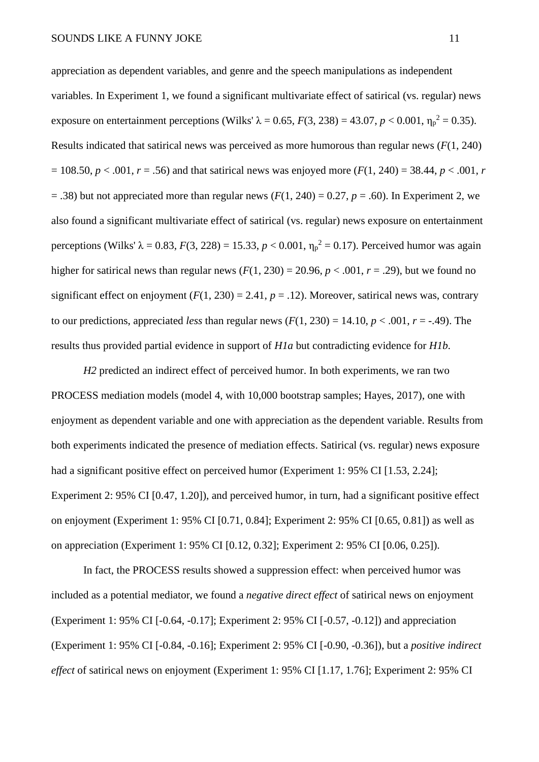appreciation as dependent variables, and genre and the speech manipulations as independent variables. In Experiment 1, we found a significant multivariate effect of satirical (vs. regular) news exposure on entertainment perceptions (Wilks'  $\lambda = 0.65$ ,  $F(3, 238) = 43.07$ ,  $p < 0.001$ ,  $\eta_p^2 = 0.35$ ). Results indicated that satirical news was perceived as more humorous than regular news (*F*(1, 240)  $= 108.50, p < .001, r = .56$ ) and that satirical news was enjoyed more  $(F(1, 240) = 38.44, p < .001, r$  $= .38$ ) but not appreciated more than regular news  $(F(1, 240) = 0.27, p = .60)$ . In Experiment 2, we also found a significant multivariate effect of satirical (vs. regular) news exposure on entertainment perceptions (Wilks' λ = 0.83, *F*(3, 228) = 15.33, *p* < 0.001,  $η<sub>p</sub><sup>2</sup> = 0.17$ ). Perceived humor was again higher for satirical news than regular news  $(F(1, 230) = 20.96, p < .001, r = .29)$ , but we found no significant effect on enjoyment  $(F(1, 230) = 2.41, p = .12)$ . Moreover, satirical news was, contrary to our predictions, appreciated *less* than regular news  $(F(1, 230) = 14.10, p < .001, r = -.49)$ . The results thus provided partial evidence in support of *H1a* but contradicting evidence for *H1b*.

*H2* predicted an indirect effect of perceived humor. In both experiments, we ran two PROCESS mediation models (model 4, with 10,000 bootstrap samples; Hayes, 2017), one with enjoyment as dependent variable and one with appreciation as the dependent variable. Results from both experiments indicated the presence of mediation effects. Satirical (vs. regular) news exposure had a significant positive effect on perceived humor (Experiment 1: 95% CI [1.53, 2.24]; Experiment 2: 95% CI [0.47, 1.20]), and perceived humor, in turn, had a significant positive effect on enjoyment (Experiment 1: 95% CI [0.71, 0.84]; Experiment 2: 95% CI [0.65, 0.81]) as well as on appreciation (Experiment 1: 95% CI [0.12, 0.32]; Experiment 2: 95% CI [0.06, 0.25]).

In fact, the PROCESS results showed a suppression effect: when perceived humor was included as a potential mediator, we found a *negative direct effect* of satirical news on enjoyment (Experiment 1: 95% CI [-0.64, -0.17]; Experiment 2: 95% CI [-0.57, -0.12]) and appreciation (Experiment 1: 95% CI [-0.84, -0.16]; Experiment 2: 95% CI [-0.90, -0.36]), but a *positive indirect effect* of satirical news on enjoyment (Experiment 1: 95% CI [1.17, 1.76]; Experiment 2: 95% CI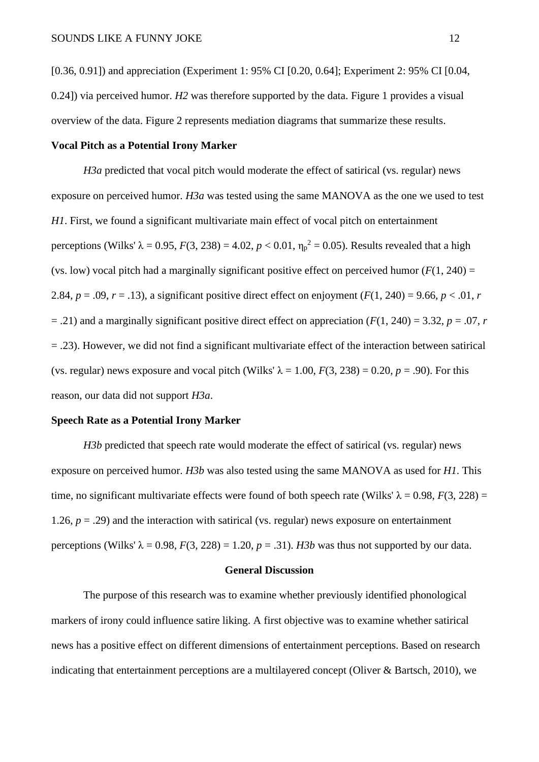[0.36, 0.91]) and appreciation (Experiment 1: 95% CI [0.20, 0.64]; Experiment 2: 95% CI [0.04, 0.24]) via perceived humor. *H2* was therefore supported by the data. Figure 1 provides a visual overview of the data. Figure 2 represents mediation diagrams that summarize these results.

## **Vocal Pitch as a Potential Irony Marker**

*H3a* predicted that vocal pitch would moderate the effect of satirical (vs. regular) news exposure on perceived humor. *H3a* was tested using the same MANOVA as the one we used to test *H1*. First, we found a significant multivariate main effect of vocal pitch on entertainment perceptions (Wilks' λ = 0.95, *F*(3, 238) = 4.02, *p* < 0.01,  $η<sub>p</sub><sup>2</sup> = 0.05$ ). Results revealed that a high (vs. low) vocal pitch had a marginally significant positive effect on perceived humor  $(F(1, 240) =$ 2.84,  $p = .09$ ,  $r = .13$ ), a significant positive direct effect on enjoyment  $(F(1, 240) = 9.66, p < .01, r$  $=$  .21) and a marginally significant positive direct effect on appreciation ( $F(1, 240) = 3.32$ ,  $p = .07$ , *r* = .23). However, we did not find a significant multivariate effect of the interaction between satirical (vs. regular) news exposure and vocal pitch (Wilks'  $\lambda = 1.00$ ,  $F(3, 238) = 0.20$ ,  $p = .90$ ). For this reason, our data did not support *H3a*.

## **Speech Rate as a Potential Irony Marker**

*H3b* predicted that speech rate would moderate the effect of satirical (vs. regular) news exposure on perceived humor. *H3b* was also tested using the same MANOVA as used for *H1*. This time, no significant multivariate effects were found of both speech rate (Wilks'  $\lambda = 0.98$ ,  $F(3, 228) =$ 1.26,  $p = .29$ ) and the interaction with satirical (vs. regular) news exposure on entertainment perceptions (Wilks'  $\lambda = 0.98$ ,  $F(3, 228) = 1.20$ ,  $p = .31$ ). *H3b* was thus not supported by our data.

## **General Discussion**

The purpose of this research was to examine whether previously identified phonological markers of irony could influence satire liking. A first objective was to examine whether satirical news has a positive effect on different dimensions of entertainment perceptions. Based on research indicating that entertainment perceptions are a multilayered concept (Oliver & Bartsch, 2010), we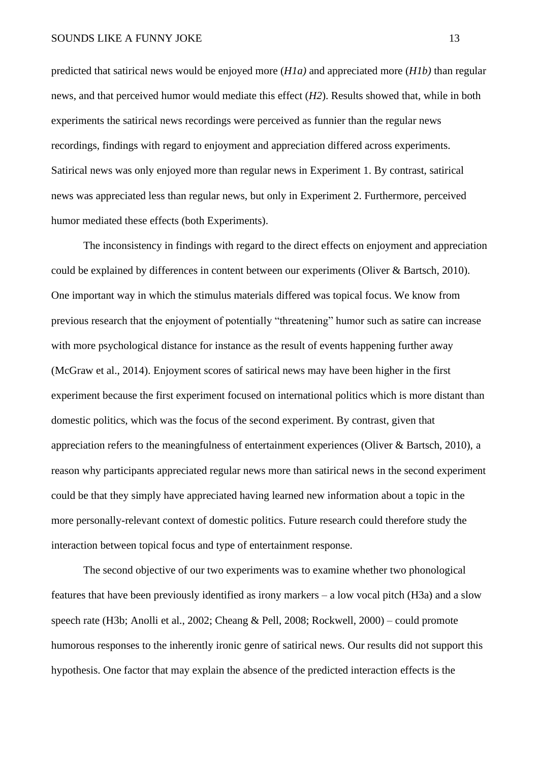predicted that satirical news would be enjoyed more (*H1a)* and appreciated more (*H1b)* than regular news, and that perceived humor would mediate this effect (*H2*). Results showed that, while in both experiments the satirical news recordings were perceived as funnier than the regular news recordings, findings with regard to enjoyment and appreciation differed across experiments. Satirical news was only enjoyed more than regular news in Experiment 1. By contrast, satirical news was appreciated less than regular news, but only in Experiment 2. Furthermore, perceived humor mediated these effects (both Experiments).

The inconsistency in findings with regard to the direct effects on enjoyment and appreciation could be explained by differences in content between our experiments (Oliver & Bartsch, 2010). One important way in which the stimulus materials differed was topical focus. We know from previous research that the enjoyment of potentially "threatening" humor such as satire can increase with more psychological distance for instance as the result of events happening further away (McGraw et al., 2014). Enjoyment scores of satirical news may have been higher in the first experiment because the first experiment focused on international politics which is more distant than domestic politics, which was the focus of the second experiment. By contrast, given that appreciation refers to the meaningfulness of entertainment experiences (Oliver & Bartsch, 2010), a reason why participants appreciated regular news more than satirical news in the second experiment could be that they simply have appreciated having learned new information about a topic in the more personally-relevant context of domestic politics. Future research could therefore study the interaction between topical focus and type of entertainment response.

The second objective of our two experiments was to examine whether two phonological features that have been previously identified as irony markers – a low vocal pitch (H3a) and a slow speech rate (H3b; Anolli et al., 2002; Cheang & Pell, 2008; Rockwell, 2000) – could promote humorous responses to the inherently ironic genre of satirical news. Our results did not support this hypothesis. One factor that may explain the absence of the predicted interaction effects is the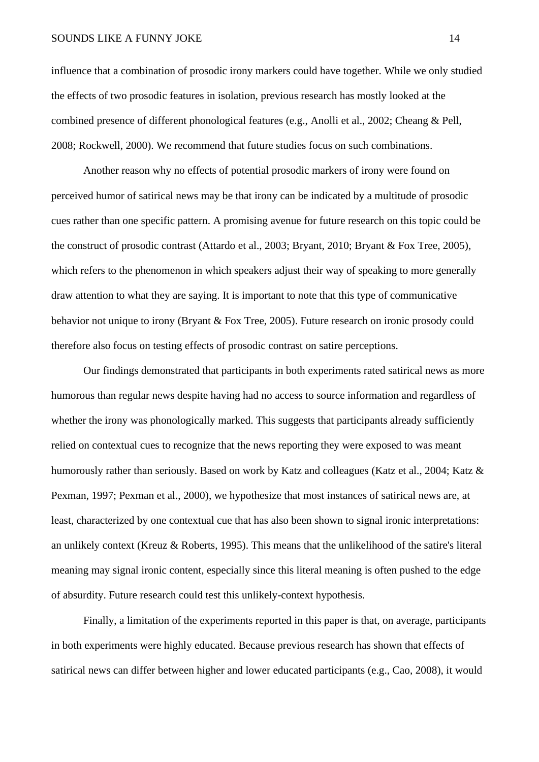#### SOUNDS LIKE A FUNNY JOKE 14

influence that a combination of prosodic irony markers could have together. While we only studied the effects of two prosodic features in isolation, previous research has mostly looked at the combined presence of different phonological features (e.g., Anolli et al., 2002; Cheang & Pell, 2008; Rockwell, 2000). We recommend that future studies focus on such combinations.

Another reason why no effects of potential prosodic markers of irony were found on perceived humor of satirical news may be that irony can be indicated by a multitude of prosodic cues rather than one specific pattern. A promising avenue for future research on this topic could be the construct of prosodic contrast (Attardo et al., 2003; Bryant, 2010; Bryant & Fox Tree, 2005), which refers to the phenomenon in which speakers adjust their way of speaking to more generally draw attention to what they are saying. It is important to note that this type of communicative behavior not unique to irony (Bryant & Fox Tree, 2005). Future research on ironic prosody could therefore also focus on testing effects of prosodic contrast on satire perceptions.

Our findings demonstrated that participants in both experiments rated satirical news as more humorous than regular news despite having had no access to source information and regardless of whether the irony was phonologically marked. This suggests that participants already sufficiently relied on contextual cues to recognize that the news reporting they were exposed to was meant humorously rather than seriously. Based on work by Katz and colleagues (Katz et al., 2004; Katz & Pexman, 1997; Pexman et al., 2000), we hypothesize that most instances of satirical news are, at least, characterized by one contextual cue that has also been shown to signal ironic interpretations: an unlikely context (Kreuz & Roberts, 1995). This means that the unlikelihood of the satire's literal meaning may signal ironic content, especially since this literal meaning is often pushed to the edge of absurdity. Future research could test this unlikely-context hypothesis.

Finally, a limitation of the experiments reported in this paper is that, on average, participants in both experiments were highly educated. Because previous research has shown that effects of satirical news can differ between higher and lower educated participants (e.g., Cao, 2008), it would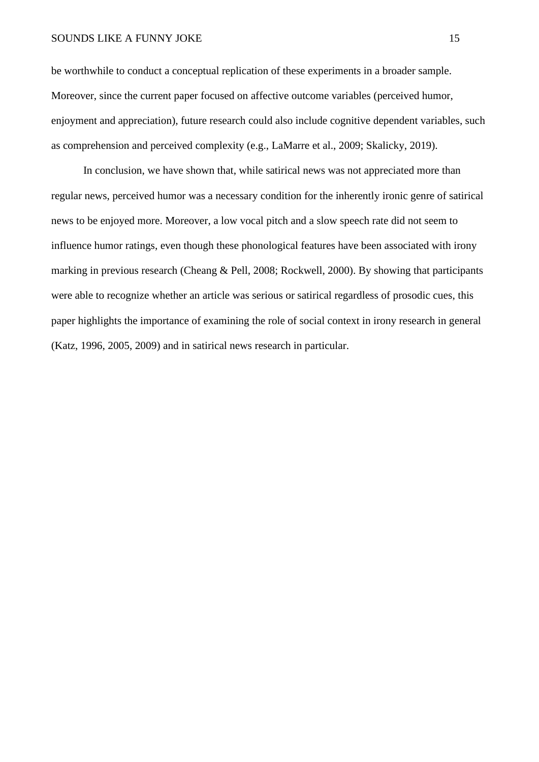#### SOUNDS LIKE A FUNNY JOKE 15

be worthwhile to conduct a conceptual replication of these experiments in a broader sample. Moreover, since the current paper focused on affective outcome variables (perceived humor, enjoyment and appreciation), future research could also include cognitive dependent variables, such as comprehension and perceived complexity (e.g., LaMarre et al., 2009; Skalicky, 2019).

In conclusion, we have shown that, while satirical news was not appreciated more than regular news, perceived humor was a necessary condition for the inherently ironic genre of satirical news to be enjoyed more. Moreover, a low vocal pitch and a slow speech rate did not seem to influence humor ratings, even though these phonological features have been associated with irony marking in previous research (Cheang & Pell, 2008; Rockwell, 2000). By showing that participants were able to recognize whether an article was serious or satirical regardless of prosodic cues, this paper highlights the importance of examining the role of social context in irony research in general (Katz, 1996, 2005, 2009) and in satirical news research in particular.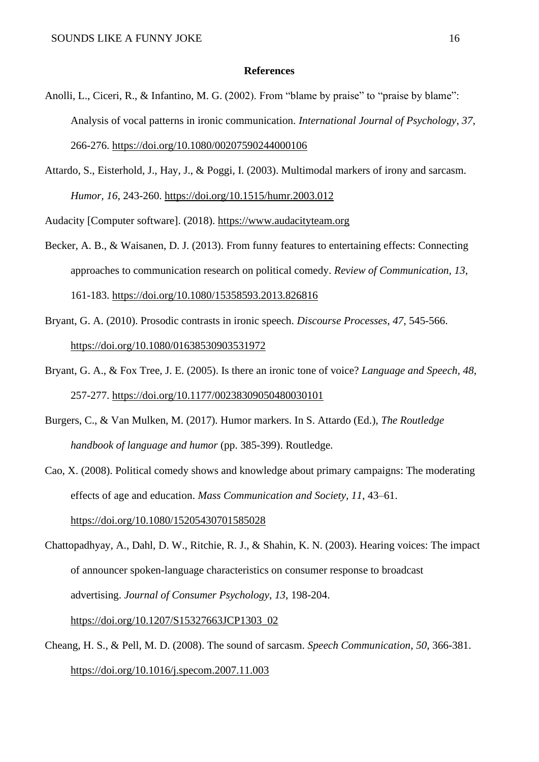#### **References**

- Anolli, L., Ciceri, R., & Infantino, M. G. (2002). From "blame by praise" to "praise by blame": Analysis of vocal patterns in ironic communication. *International Journal of Psychology*, *37*, 266-276.<https://doi.org/10.1080/00207590244000106>
- Attardo, S., Eisterhold, J., Hay, J., & Poggi, I. (2003). Multimodal markers of irony and sarcasm. *Humor, 16,* 243-260.<https://doi.org/10.1515/humr.2003.012>

Audacity [Computer software]. (2018). [https://www.audacityteam.org](https://www.audacityteam.org/)

- Becker, A. B., & Waisanen, D. J. (2013). From funny features to entertaining effects: Connecting approaches to communication research on political comedy. *Review of Communication, 13*, 161-183.<https://doi.org/10.1080/15358593.2013.826816>
- Bryant, G. A. (2010). Prosodic contrasts in ironic speech. *Discourse Processes*, *47*, 545-566. <https://doi.org/10.1080/01638530903531972>
- Bryant, G. A., & Fox Tree, J. E. (2005). Is there an ironic tone of voice? *Language and Speech, 48*, 257-277.<https://doi.org/10.1177/00238309050480030101>
- Burgers, C., & Van Mulken, M. (2017). Humor markers. In S. Attardo (Ed.), *The Routledge handbook of language and humor* (pp. 385-399). Routledge.
- Cao, X. (2008). Political comedy shows and knowledge about primary campaigns: The moderating effects of age and education. *Mass Communication and Society, 11*, 43–61. <https://doi.org/10.1080/15205430701585028>
- Chattopadhyay, A., Dahl, D. W., Ritchie, R. J., & Shahin, K. N. (2003). Hearing voices: The impact of announcer spoken-language characteristics on consumer response to broadcast advertising. *Journal of Consumer Psychology*, *13*, 198-204. [https://doi.org/10.1207/S15327663JCP1303\\_02](https://doi.org/10.1207/S15327663JCP1303_02)
- Cheang, H. S., & Pell, M. D. (2008). The sound of sarcasm. *Speech Communication*, *50*, 366-381. <https://doi.org/10.1016/j.specom.2007.11.003>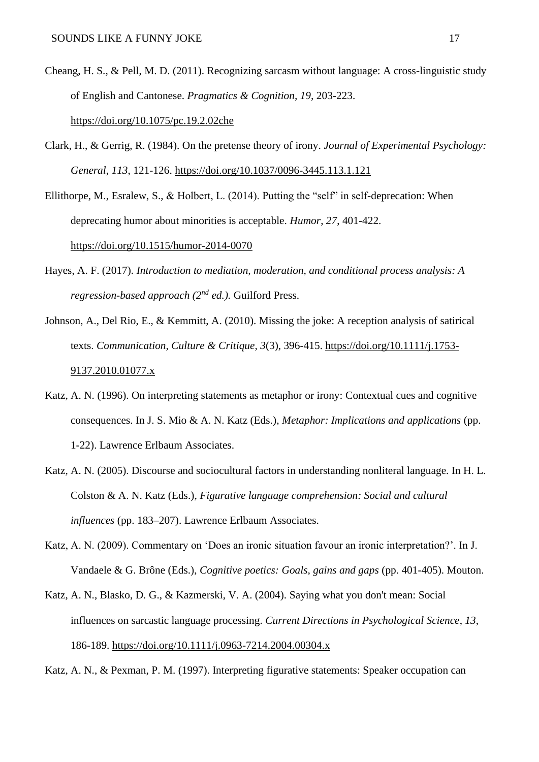- Cheang, H. S., & Pell, M. D. (2011). Recognizing sarcasm without language: A cross-linguistic study of English and Cantonese. *Pragmatics & Cognition, 19,* 203-223. <https://doi.org/10.1075/pc.19.2.02che>
- Clark, H., & Gerrig, R. (1984). On the pretense theory of irony. *Journal of Experimental Psychology: General*, *113*, 121-126.<https://doi.org/10.1037/0096-3445.113.1.121>
- Ellithorpe, M., Esralew, S., & Holbert, L. (2014). Putting the "self" in self-deprecation: When deprecating humor about minorities is acceptable. *Humor*, *27*, 401-422. <https://doi.org/10.1515/humor-2014-0070>
- Hayes, A. F. (2017). *Introduction to mediation, moderation, and conditional process analysis: A regression-based approach (2nd ed.).* Guilford Press.
- Johnson, A., Del Rio, E., & Kemmitt, A. (2010). Missing the joke: A reception analysis of satirical texts. *Communication, Culture & Critique, 3*(3), 396-415. [https://doi.org/10.1111/j.1753-](https://doi.org/10.1111/j.1753-9137.2010.01077.x) [9137.2010.01077.x](https://doi.org/10.1111/j.1753-9137.2010.01077.x)
- Katz, A. N. (1996). On interpreting statements as metaphor or irony: Contextual cues and cognitive consequences. In J. S. Mio & A. N. Katz (Eds.), *Metaphor: Implications and applications* (pp. 1-22). Lawrence Erlbaum Associates.
- Katz, A. N. (2005). Discourse and sociocultural factors in understanding nonliteral language. In H. L. Colston & A. N. Katz (Eds.), *Figurative language comprehension: Social and cultural influences* (pp. 183–207). Lawrence Erlbaum Associates.
- Katz, A. N. (2009). Commentary on 'Does an ironic situation favour an ironic interpretation?'. In J. Vandaele & G. Brône (Eds.), *Cognitive poetics: Goals, gains and gaps* (pp. 401-405). Mouton.
- Katz, A. N., Blasko, D. G., & Kazmerski, V. A. (2004). Saying what you don't mean: Social influences on sarcastic language processing. *Current Directions in Psychological Science*, *13*, 186-189.<https://doi.org/10.1111/j.0963-7214.2004.00304.x>

Katz, A. N., & Pexman, P. M. (1997). Interpreting figurative statements: Speaker occupation can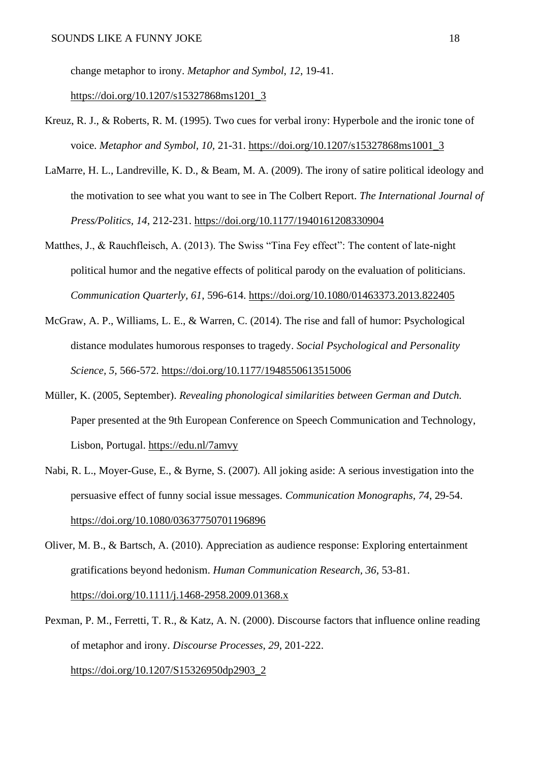change metaphor to irony. *Metaphor and Symbol*, *12*, 19-41.

[https://doi.org/10.1207/s15327868ms1201\\_3](https://doi.org/10.1207/s15327868ms1201_3)

- Kreuz, R. J., & Roberts, R. M. (1995). Two cues for verbal irony: Hyperbole and the ironic tone of voice. *Metaphor and Symbol, 10,* 21-31. [https://doi.org/10.1207/s15327868ms1001\\_3](https://doi.org/10.1207/s15327868ms1001_3)
- LaMarre, H. L., Landreville, K. D., & Beam, M. A. (2009). The irony of satire political ideology and the motivation to see what you want to see in The Colbert Report. *The International Journal of Press/Politics, 14*, 212-231.<https://doi.org/10.1177/1940161208330904>
- Matthes, J., & Rauchfleisch, A. (2013). The Swiss "Tina Fey effect": The content of late-night political humor and the negative effects of political parody on the evaluation of politicians. *Communication Quarterly, 61*, 596-614.<https://doi.org/10.1080/01463373.2013.822405>
- McGraw, A. P., Williams, L. E., & Warren, C. (2014). The rise and fall of humor: Psychological distance modulates humorous responses to tragedy. *Social Psychological and Personality Science, 5,* 566-572.<https://doi.org/10.1177/1948550613515006>
- Müller, K. (2005, September). *Revealing phonological similarities between German and Dutch.* Paper presented at the 9th European Conference on Speech Communication and Technology, Lisbon, Portugal. <https://edu.nl/7amvy>
- Nabi, R. L., Moyer-Guse, E., & Byrne, S. (2007). All joking aside: A serious investigation into the persuasive effect of funny social issue messages. *Communication Monographs, 74*, 29-54. <https://doi.org/10.1080/03637750701196896>
- Oliver, M. B., & Bartsch, A. (2010). Appreciation as audience response: Exploring entertainment gratifications beyond hedonism. *Human Communication Research, 36*, 53-81. <https://doi.org/10.1111/j.1468-2958.2009.01368.x>
- Pexman, P. M., Ferretti, T. R., & Katz, A. N. (2000). Discourse factors that influence online reading of metaphor and irony. *Discourse Processes*, *29*, 201-222. [https://doi.org/10.1207/S15326950dp2903\\_2](https://doi.org/10.1207/S15326950dp2903_2)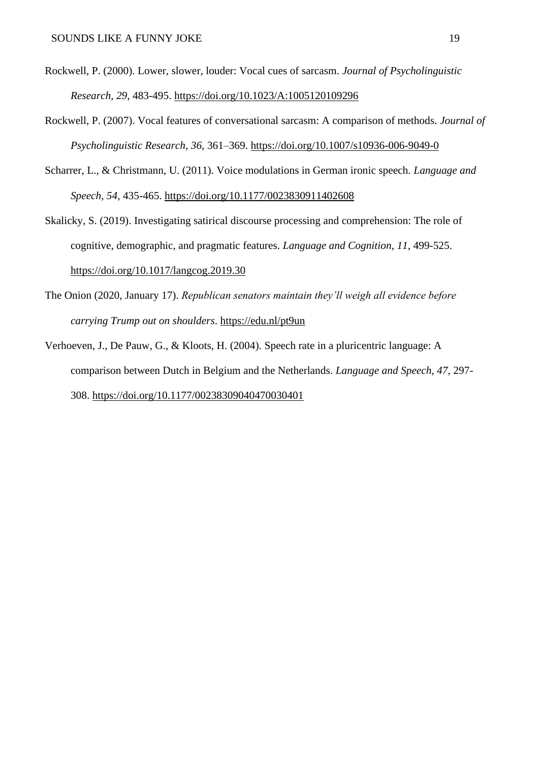- Rockwell, P. (2000). Lower, slower, louder: Vocal cues of sarcasm. *Journal of Psycholinguistic Research*, *29*, 483-495.<https://doi.org/10.1023/A:1005120109296>
- Rockwell, P. (2007). Vocal features of conversational sarcasm: A comparison of methods. *Journal of Psycholinguistic Research, 36,* 361–369.<https://doi.org/10.1007/s10936-006-9049-0>
- Scharrer, L., & Christmann, U. (2011). Voice modulations in German ironic speech. *Language and Speech, 54,* 435-465.<https://doi.org/10.1177/0023830911402608>
- Skalicky, S. (2019). Investigating satirical discourse processing and comprehension: The role of cognitive, demographic, and pragmatic features. *Language and Cognition*, *11*, 499-525. <https://doi.org/10.1017/langcog.2019.30>
- The Onion (2020, January 17). *Republican senators maintain they'll weigh all evidence before carrying Trump out on shoulders*.<https://edu.nl/pt9un>
- Verhoeven, J., De Pauw, G., & Kloots, H. (2004). Speech rate in a pluricentric language: A comparison between Dutch in Belgium and the Netherlands. *Language and Speech, 47*, 297- 308.<https://doi.org/10.1177/00238309040470030401>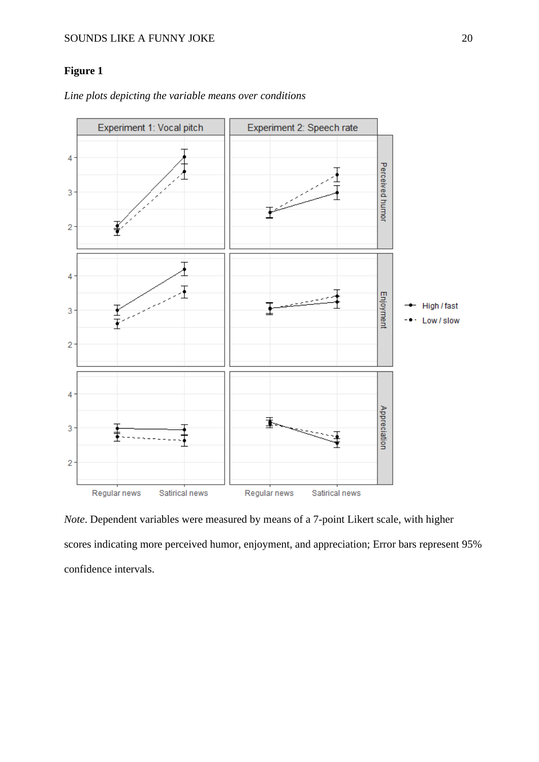# **Figure 1**

*Line plots depicting the variable means over conditions* 



*Note*. Dependent variables were measured by means of a 7-point Likert scale, with higher scores indicating more perceived humor, enjoyment, and appreciation; Error bars represent 95% confidence intervals.